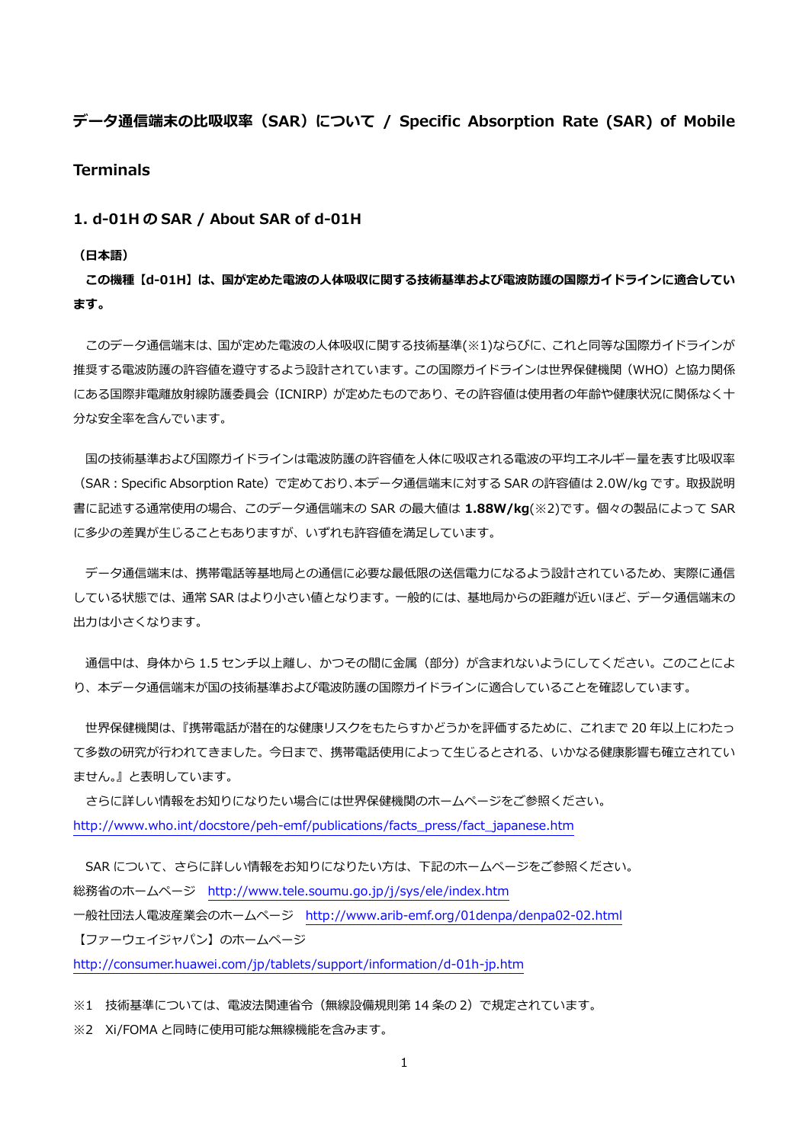# **データ通信端末の⽐吸収率(SAR)について / Specific Absorption Rate (SAR) of Mobile Terminals**

## **1. d-01H の SAR / About SAR of d-01H**

#### **(⽇本語)**

**この機種【d-01H】は、国が定めた電波の⼈体吸収に関する技術基準および電波防護の国際ガイドラインに適合してい ます。** 

 このデータ通信端末は、国が定めた電波の⼈体吸収に関する技術基準(※1)ならびに、これと同等な国際ガイドラインが 推奨する電波防護の許容値を遵守するよう設計されています。この国際ガイドラインは世界保健機関(WHO)と協力関係 にある国際非電離放射線防護委員会(ICNIRP)が定めたものであり、その許容値は使用者の年齢や健康状況に関係なく十 分な安全率を含んでいます。

国の技術基準および国際ガイドラインは電波防護の許容値を人体に吸収される電波の平均エネルギー量を表す比吸収率 (SAR:Specific Absorption Rate)で定めており、本データ通信端末に対する SAR の許容値は 2.0W/kg です。取扱説明 書に記述する通常使⽤の場合、このデータ通信端末の SAR の最⼤値は **1.88W/kg**(※2)です。個々の製品によって SAR に多少の差異が生じることもありますが、いずれも許容値を満足しています。

 データ通信端末は、携帯電話等基地局との通信に必要な最低限の送信電⼒になるよう設計されているため、実際に通信 している状態では、通常 SAR はより⼩さい値となります。⼀般的には、基地局からの距離が近いほど、データ通信端末の 出力は小さくなります。

通信中は、身体から 1.5 センチ以上離し、かつその間に金属 (部分) が含まれないようにしてください。このことによ り、本データ通信端末が国の技術基準および電波防護の国際ガイドラインに適合していることを確認しています。

世界保健機関は、『携帯電話が潜在的な健康リスクをもたらすかどうかを評価するために、これまで 20 年以上にわたっ て多数の研究が行われてきました。今日まで、携帯電話使用によって生じるとされる、いかなる健康影響も確立されてい ません。』と表明しています。

 さらに詳しい情報をお知りになりたい場合には世界保健機関のホームページをご参照ください。 http://www.who.int/docstore/peh-emf/publications/facts\_press/fact\_japanese.htm

SAR について、さらに詳しい情報をお知りになりたい方は、下記のホームページをご参照ください。 総務省のホームページ http://www.tele.soumu.go.jp/j/sys/ele/index.htm ⼀般社団法⼈電波産業会のホームページ http://www.arib-emf.org/01denpa/denpa02-02.html 【ファーウェイジャパン】のホームページ

http://consumer.huawei.com/jp/tablets/support/information/d-01h-jp.htm

※1 技術基準については、電波法関連省令(無線設備規則第 14 条の 2)で規定されています。

※2 Xi/FOMA と同時に使用可能な無線機能を含みます。